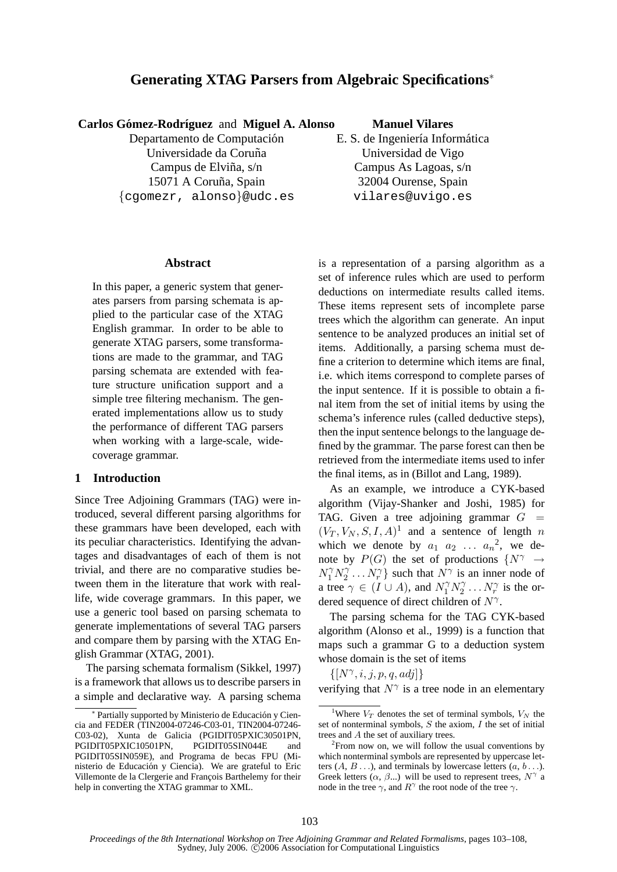# **Generating XTAG Parsers from Algebraic Specifications**<sup>∗</sup>

# **Carlos Gómez-Rodríguez** and **Miguel A. Alonso**

Departamento de Computación Universidade da Coruña Campus de Elviña,  $s/n$ 15071 A Coruña, Spain {cgomezr, alonso}@udc.es

#### **Manuel Vilares**

E. S. de Ingeniería Informática Universidad de Vigo Campus As Lagoas, s/n 32004 Ourense, Spain vilares@uvigo.es

#### **Abstract**

In this paper, a generic system that generates parsers from parsing schemata is applied to the particular case of the XTAG English grammar. In order to be able to generate XTAG parsers, some transformations are made to the grammar, and TAG parsing schemata are extended with feature structure unification support and a simple tree filtering mechanism. The generated implementations allow us to study the performance of different TAG parsers when working with a large-scale, widecoverage grammar.

### **1 Introduction**

Since Tree Adjoining Grammars (TAG) were introduced, several different parsing algorithms for these grammars have been developed, each with its peculiar characteristics. Identifying the advantages and disadvantages of each of them is not trivial, and there are no comparative studies between them in the literature that work with reallife, wide coverage grammars. In this paper, we use a generic tool based on parsing schemata to generate implementations of several TAG parsers and compare them by parsing with the XTAG English Grammar (XTAG, 2001).

The parsing schemata formalism (Sikkel, 1997) is a framework that allows us to describe parsers in a simple and declarative way. A parsing schema

is a representation of a parsing algorithm as a set of inference rules which are used to perform deductions on intermediate results called items. These items represent sets of incomplete parse trees which the algorithm can generate. An input sentence to be analyzed produces an initial set of items. Additionally, a parsing schema must define a criterion to determine which items are final, i.e. which items correspond to complete parses of the input sentence. If it is possible to obtain a final item from the set of initial items by using the schema's inference rules (called deductive steps), then the input sentence belongs to the language defined by the grammar. The parse forest can then be retrieved from the intermediate items used to infer the final items, as in (Billot and Lang, 1989).

As an example, we introduce a CYK-based algorithm (Vijay-Shanker and Joshi, 1985) for TAG. Given a tree adjoining grammar  $G =$  $(V_T, V_N, S, I, A)^1$  and a sentence of length n which we denote by  $a_1$   $a_2$  ...  $a_n^2$ , we denote by  $P(G)$  the set of productions  $\{N^{\gamma} \rightarrow$  $N_1^\gamma N_2^\gamma$  $\{Y_2^{\gamma}, \ldots, Y_r^{\gamma}\}\$  such that  $N^{\gamma}$  is an inner node of a tree  $\gamma \in (I \cup A)$ , and  $N_1^{\gamma} N_2^{\gamma}$  $x_2^{\gamma} \dots x_r^{\gamma}$  is the ordered sequence of direct children of  $N^{\gamma}$ .

The parsing schema for the TAG CYK-based algorithm (Alonso et al., 1999) is a function that maps such a grammar G to a deduction system whose domain is the set of items

 $\{[N^\gamma, i, j, p, q, adj]\}$ 

verifying that  $N^{\gamma}$  is a tree node in an elementary

<sup>∗</sup> Partially supported by Ministerio de Educación y Ciencia and FEDER (TIN2004-07246-C03-01, TIN2004-07246- C03-02), Xunta de Galicia (PGIDIT05PXIC30501PN, PGIDIT05PXIC10501PN, PGIDIT05SIN044E and PGIDIT05SIN059E), and Programa de becas FPU (Ministerio de Educacion y Ciencia). We are grateful to Eric ´ Villemonte de la Clergerie and François Barthelemy for their help in converting the XTAG grammar to XML.

<sup>&</sup>lt;sup>1</sup>Where  $V_T$  denotes the set of terminal symbols,  $V_N$  the set of nonterminal symbols,  $S$  the axiom,  $I$  the set of initial trees and A the set of auxiliary trees.

 $2$ From now on, we will follow the usual conventions by which nonterminal symbols are represented by uppercase letters  $(A, B, \ldots)$ , and terminals by lowercase letters  $(a, b, \ldots)$ . Greek letters  $(\alpha, \beta...)$  will be used to represent trees,  $N^{\gamma}$  a node in the tree  $\gamma$ , and  $R^{\gamma}$  the root node of the tree  $\gamma$ .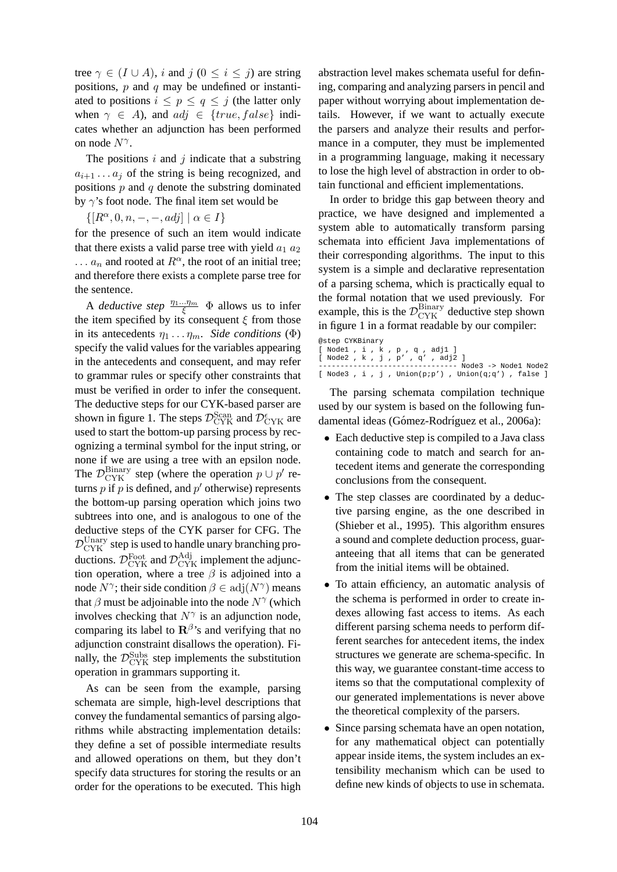tree  $\gamma \in (I \cup A)$ , *i* and  $j$   $(0 \le i \le j)$  are string positions,  $p$  and  $q$  may be undefined or instantiated to positions  $i \leq p \leq q \leq j$  (the latter only when  $\gamma \in A$ ), and  $adj \in \{true, false\}$  indicates whether an adjunction has been performed on node  $N^{\gamma}$ .

The positions  $i$  and  $j$  indicate that a substring  $a_{i+1} \ldots a_j$  of the string is being recognized, and positions  $p$  and  $q$  denote the substring dominated by  $\gamma$ 's foot node. The final item set would be

 $\{[R^{\alpha}, 0, n, -, -, adj] \mid \alpha \in I\}$ 

for the presence of such an item would indicate that there exists a valid parse tree with yield  $a_1 a_2$ ...  $a_n$  and rooted at  $R^{\alpha}$ , the root of an initial tree; and therefore there exists a complete parse tree for the sentence.

A *deductive step*  $\frac{\eta_1...\eta_m}{\xi}$   $\Phi$  allows us to infer the item specified by its consequent  $\xi$  from those in its antecedents  $\eta_1 \ldots \eta_m$ . *Side conditions* ( $\Phi$ ) specify the valid values for the variables appearing in the antecedents and consequent, and may refer to grammar rules or specify other constraints that must be verified in order to infer the consequent. The deductive steps for our CYK-based parser are shown in figure 1. The steps  $\mathcal{D}_{\text{CYK}}^{\text{Scan}}$  and  $\mathcal{D}_{\text{CYK}}^{\epsilon}$  are used to start the bottom-up parsing process by recognizing a terminal symbol for the input string, or none if we are using a tree with an epsilon node. The  $\mathcal{D}_{\text{CYK}}^{\text{Binary}}$  step (where the operation  $p \cup p'$  returns  $p$  if  $p$  is defined, and  $p'$  otherwise) represents the bottom-up parsing operation which joins two subtrees into one, and is analogous to one of the deductive steps of the CYK parser for CFG. The  $\mathcal{D}_{\text{CYK}}^{\text{Unary}}$  step is used to handle unary branching productions.  $\mathcal{D}^{\text{Foot}}_{\text{CYK}}$  and  $\mathcal{D}^{\text{Adj}}_{\text{CYK}}$  implement the adjunction operation, where a tree  $\beta$  is adjoined into a node  $N^{\gamma}$ ; their side condition  $\beta \in \text{adj}(N^{\gamma})$  means that  $\beta$  must be adjoinable into the node  $N^{\gamma}$  (which involves checking that  $N^{\gamma}$  is an adjunction node, comparing its label to  $\mathbf{R}^{\beta}$ 's and verifying that no adjunction constraint disallows the operation). Finally, the  $\mathcal{D}_{\text{CYK}}^{\text{Subs}}$  step implements the substitution operation in grammars supporting it.

As can be seen from the example, parsing schemata are simple, high-level descriptions that convey the fundamental semantics of parsing algorithms while abstracting implementation details: they define a set of possible intermediate results and allowed operations on them, but they don't specify data structures for storing the results or an order for the operations to be executed. This high abstraction level makes schemata useful for defining, comparing and analyzing parsers in pencil and paper without worrying about implementation details. However, if we want to actually execute the parsers and analyze their results and performance in a computer, they must be implemented in a programming language, making it necessary to lose the high level of abstraction in order to obtain functional and efficient implementations.

In order to bridge this gap between theory and practice, we have designed and implemented a system able to automatically transform parsing schemata into efficient Java implementations of their corresponding algorithms. The input to this system is a simple and declarative representation of a parsing schema, which is practically equal to the formal notation that we used previously. For example, this is the  $\mathcal{D}_{\text{CYK}}^{\text{Binary}}$  deductive step shown in figure 1 in a format readable by our compiler:

```
@step CYKBinary
[ Node1 , i , k , p , q , adj1 ]<br>[ Node2 , k , j , p' , q' , adj2 ]<br>--------------------------------- Node3 -> Node1 Node2<br>[ Node3 , i , j , Union(p;p') , Union(q;q') , false ]
```
The parsing schemata compilation technique used by our system is based on the following fundamental ideas (Gómez-Rodríguez et al., 2006a):

- Each deductive step is compiled to a Java class containing code to match and search for antecedent items and generate the corresponding conclusions from the consequent.
- The step classes are coordinated by a deductive parsing engine, as the one described in (Shieber et al., 1995). This algorithm ensures a sound and complete deduction process, guaranteeing that all items that can be generated from the initial items will be obtained.
- To attain efficiency, an automatic analysis of the schema is performed in order to create indexes allowing fast access to items. As each different parsing schema needs to perform different searches for antecedent items, the index structures we generate are schema-specific. In this way, we guarantee constant-time access to items so that the computational complexity of our generated implementations is never above the theoretical complexity of the parsers.
- Since parsing schemata have an open notation, for any mathematical object can potentially appear inside items, the system includes an extensibility mechanism which can be used to define new kinds of objects to use in schemata.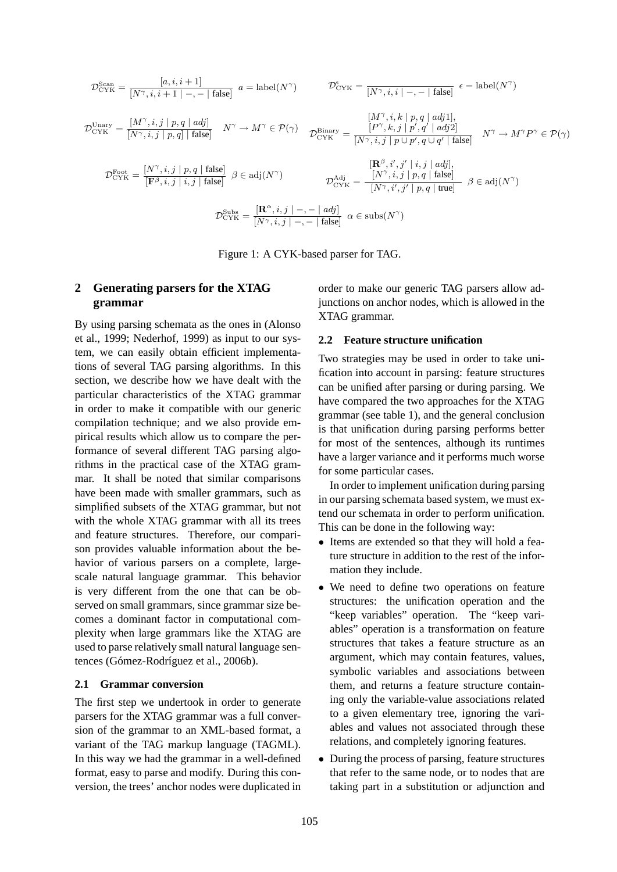$$
\mathcal{D}_{\text{CYK}}^{\text{Scan}} = \frac{[a, i, i+1]}{[N^{\gamma}, i, i+1| -, - | \text{false}]} \quad a = \text{label}(N^{\gamma}) \qquad \mathcal{D}_{\text{CYK}}^{\epsilon} = \frac{[N^{\gamma}, i, i| -, - | \text{false}]}{[N^{\gamma}, i, i| -, - | \text{false}]} \quad \epsilon = \text{label}(N^{\gamma})
$$
\n
$$
\mathcal{D}_{\text{CYK}}^{\text{Unary}} = \frac{[M^{\gamma}, i, j| p, q | \text{adj}]}{[N^{\gamma}, i, j| p, q] | \text{false}]} \quad N^{\gamma} \to M^{\gamma} \in \mathcal{P}(\gamma) \qquad \mathcal{D}_{\text{CYK}}^{\text{Binary}} = \frac{[P^{\gamma}, k, j| p', q | \text{adj}1]}{[N^{\gamma}, i, j| p \cup p', q \cup q' | \text{false}]} \quad N^{\gamma} \to M^{\gamma} P^{\gamma} \in \mathcal{P}(\gamma)
$$
\n
$$
\mathcal{D}_{\text{CYK}}^{\text{Root}} = \frac{[N^{\gamma}, i, j| p, q | \text{false}]}{[\mathbf{F}^{\beta}, i, j| i, j | \text{false}]} \quad \beta \in \text{adj}(N^{\gamma}) \qquad \mathcal{D}_{\text{CYK}}^{\text{Adj}} = \frac{[N^{\gamma}, i, j| p, q | \text{false}]}{[N^{\gamma}, i, j| p, q | \text{true}]} \quad \beta \in \text{adj}(N^{\gamma})
$$
\n
$$
\mathcal{D}_{\text{CYK}}^{\text{Subs}} = \frac{[\mathbf{R}^{\alpha}, i, j| -, - | \text{adj}]}{[N^{\gamma}, i, j| -, - | \text{false}]} \quad \alpha \in \text{subs}(N^{\gamma})
$$

Figure 1: A CYK-based parser for TAG.

# **2 Generating parsers for the XTAG grammar**

By using parsing schemata as the ones in (Alonso et al., 1999; Nederhof, 1999) as input to our system, we can easily obtain efficient implementations of several TAG parsing algorithms. In this section, we describe how we have dealt with the particular characteristics of the XTAG grammar in order to make it compatible with our generic compilation technique; and we also provide empirical results which allow us to compare the performance of several different TAG parsing algorithms in the practical case of the XTAG grammar. It shall be noted that similar comparisons have been made with smaller grammars, such as simplified subsets of the XTAG grammar, but not with the whole XTAG grammar with all its trees and feature structures. Therefore, our comparison provides valuable information about the behavior of various parsers on a complete, largescale natural language grammar. This behavior is very different from the one that can be observed on small grammars, since grammar size becomes a dominant factor in computational complexity when large grammars like the XTAG are used to parse relatively small natural language sentences (Gómez-Rodríguez et al., 2006b).

#### **2.1 Grammar conversion**

The first step we undertook in order to generate parsers for the XTAG grammar was a full conversion of the grammar to an XML-based format, a variant of the TAG markup language (TAGML). In this way we had the grammar in a well-defined format, easy to parse and modify. During this conversion, the trees' anchor nodes were duplicated in order to make our generic TAG parsers allow adjunctions on anchor nodes, which is allowed in the XTAG grammar.

#### **2.2 Feature structure unification**

Two strategies may be used in order to take unification into account in parsing: feature structures can be unified after parsing or during parsing. We have compared the two approaches for the XTAG grammar (see table 1), and the general conclusion is that unification during parsing performs better for most of the sentences, although its runtimes have a larger variance and it performs much worse for some particular cases.

In order to implement unification during parsing in our parsing schemata based system, we must extend our schemata in order to perform unification. This can be done in the following way:

- Items are extended so that they will hold a feature structure in addition to the rest of the information they include.
- We need to define two operations on feature structures: the unification operation and the "keep variables" operation. The "keep variables" operation is a transformation on feature structures that takes a feature structure as an argument, which may contain features, values, symbolic variables and associations between them, and returns a feature structure containing only the variable-value associations related to a given elementary tree, ignoring the variables and values not associated through these relations, and completely ignoring features.
- During the process of parsing, feature structures that refer to the same node, or to nodes that are taking part in a substitution or adjunction and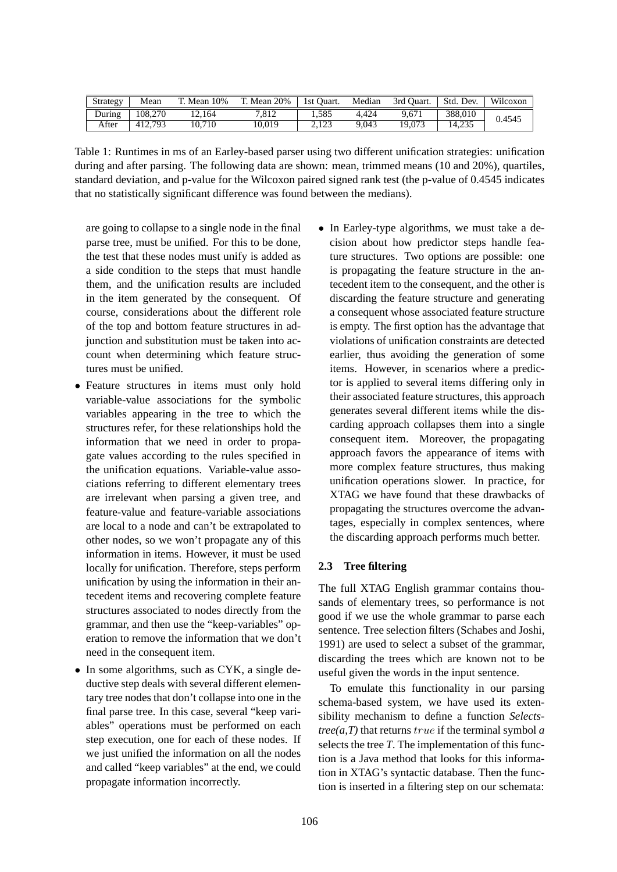| Strategy | Mean    | T. Mean 10% | T. Mean 20% | 1st Ouart. | Median | 3rd Ouart. | Std. Dev. | Wilcoxon |
|----------|---------|-------------|-------------|------------|--------|------------|-----------|----------|
| During   | 108,270 | 12.164      | 7.812       | .585       | 4.424  | 9.671      | 388.010   | 0.4545   |
| After    | 412.793 | 10.710      | 10.019      | 2.123      | 9.043  | 19,073     | 14.235    |          |

Table 1: Runtimes in ms of an Earley-based parser using two different unification strategies: unification during and after parsing. The following data are shown: mean, trimmed means (10 and 20%), quartiles, standard deviation, and p-value for the Wilcoxon paired signed rank test (the p-value of 0.4545 indicates that no statistically significant difference was found between the medians).

are going to collapse to a single node in the final parse tree, must be unified. For this to be done, the test that these nodes must unify is added as a side condition to the steps that must handle them, and the unification results are included in the item generated by the consequent. Of course, considerations about the different role of the top and bottom feature structures in adjunction and substitution must be taken into account when determining which feature structures must be unified.

- Feature structures in items must only hold variable-value associations for the symbolic variables appearing in the tree to which the structures refer, for these relationships hold the information that we need in order to propagate values according to the rules specified in the unification equations. Variable-value associations referring to different elementary trees are irrelevant when parsing a given tree, and feature-value and feature-variable associations are local to a node and can't be extrapolated to other nodes, so we won't propagate any of this information in items. However, it must be used locally for unification. Therefore, steps perform unification by using the information in their antecedent items and recovering complete feature structures associated to nodes directly from the grammar, and then use the "keep-variables" operation to remove the information that we don't need in the consequent item.
- In some algorithms, such as CYK, a single deductive step deals with several different elementary tree nodes that don't collapse into one in the final parse tree. In this case, several "keep variables" operations must be performed on each step execution, one for each of these nodes. If we just unified the information on all the nodes and called "keep variables" at the end, we could propagate information incorrectly.

• In Earley-type algorithms, we must take a decision about how predictor steps handle feature structures. Two options are possible: one is propagating the feature structure in the antecedent item to the consequent, and the other is discarding the feature structure and generating a consequent whose associated feature structure is empty. The first option has the advantage that violations of unification constraints are detected earlier, thus avoiding the generation of some items. However, in scenarios where a predictor is applied to several items differing only in their associated feature structures, this approach generates several different items while the discarding approach collapses them into a single consequent item. Moreover, the propagating approach favors the appearance of items with more complex feature structures, thus making unification operations slower. In practice, for XTAG we have found that these drawbacks of propagating the structures overcome the advantages, especially in complex sentences, where the discarding approach performs much better.

# **2.3 Tree filtering**

The full XTAG English grammar contains thousands of elementary trees, so performance is not good if we use the whole grammar to parse each sentence. Tree selection filters (Schabes and Joshi, 1991) are used to select a subset of the grammar, discarding the trees which are known not to be useful given the words in the input sentence.

To emulate this functionality in our parsing schema-based system, we have used its extensibility mechanism to define a function *Selects* $tree(a,T)$  that returns  $true$  if the terminal symbol  $a$ selects the tree *T*. The implementation of this function is a Java method that looks for this information in XTAG's syntactic database. Then the function is inserted in a filtering step on our schemata: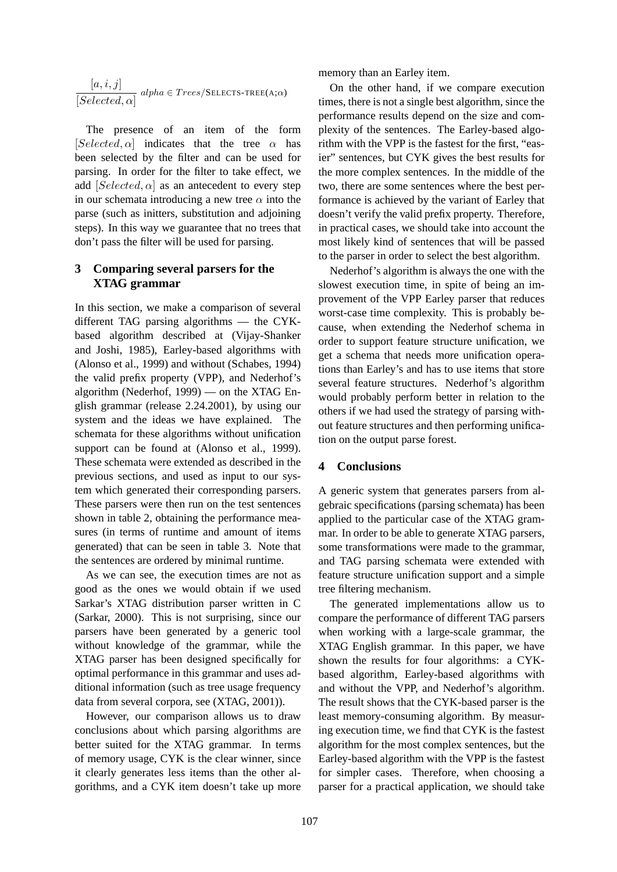$$
\frac{[a,i,j]}{[Selected,\alpha]} \text{ alpha} \in Trees/\text{SELECTS-Tree}(A;\alpha)
$$

The presence of an item of the form  $[Selected, \alpha]$  indicates that the tree  $\alpha$  has been selected by the filter and can be used for parsing. In order for the filter to take effect, we add  $[Selected, \alpha]$  as an antecedent to every step in our schemata introducing a new tree  $\alpha$  into the parse (such as initters, substitution and adjoining steps). In this way we guarantee that no trees that don't pass the filter will be used for parsing.

# **3 Comparing several parsers for the XTAG grammar**

In this section, we make a comparison of several different TAG parsing algorithms — the CYKbased algorithm described at (Vijay-Shanker and Joshi, 1985), Earley-based algorithms with (Alonso et al., 1999) and without (Schabes, 1994) the valid prefix property (VPP), and Nederhof's algorithm (Nederhof, 1999) — on the XTAG English grammar (release 2.24.2001), by using our system and the ideas we have explained. The schemata for these algorithms without unification support can be found at (Alonso et al., 1999). These schemata were extended as described in the previous sections, and used as input to our system which generated their corresponding parsers. These parsers were then run on the test sentences shown in table 2, obtaining the performance measures (in terms of runtime and amount of items generated) that can be seen in table 3. Note that the sentences are ordered by minimal runtime.

As we can see, the execution times are not as good as the ones we would obtain if we used Sarkar's XTAG distribution parser written in C (Sarkar, 2000). This is not surprising, since our parsers have been generated by a generic tool without knowledge of the grammar, while the XTAG parser has been designed specifically for optimal performance in this grammar and uses additional information (such as tree usage frequency data from several corpora, see (XTAG, 2001)).

However, our comparison allows us to draw conclusions about which parsing algorithms are better suited for the XTAG grammar. In terms of memory usage, CYK is the clear winner, since it clearly generates less items than the other algorithms, and a CYK item doesn't take up more memory than an Earley item.

On the other hand, if we compare execution times, there is not a single best algorithm, since the performance results depend on the size and complexity of the sentences. The Earley-based algorithm with the VPP is the fastest for the first, "easier" sentences, but CYK gives the best results for the more complex sentences. In the middle of the two, there are some sentences where the best performance is achieved by the variant of Earley that doesn't verify the valid prefix property. Therefore, in practical cases, we should take into account the most likely kind of sentences that will be passed to the parser in order to select the best algorithm.

Nederhof's algorithm is always the one with the slowest execution time, in spite of being an improvement of the VPP Earley parser that reduces worst-case time complexity. This is probably because, when extending the Nederhof schema in order to support feature structure unification, we get a schema that needs more unification operations than Earley's and has to use items that store several feature structures. Nederhof's algorithm would probably perform better in relation to the others if we had used the strategy of parsing without feature structures and then performing unification on the output parse forest.

# **4 Conclusions**

A generic system that generates parsers from algebraic specifications (parsing schemata) has been applied to the particular case of the XTAG grammar. In order to be able to generate XTAG parsers, some transformations were made to the grammar, and TAG parsing schemata were extended with feature structure unification support and a simple tree filtering mechanism.

The generated implementations allow us to compare the performance of different TAG parsers when working with a large-scale grammar, the XTAG English grammar. In this paper, we have shown the results for four algorithms: a CYKbased algorithm, Earley-based algorithms with and without the VPP, and Nederhof's algorithm. The result shows that the CYK-based parser is the least memory-consuming algorithm. By measuring execution time, we find that CYK is the fastest algorithm for the most complex sentences, but the Earley-based algorithm with the VPP is the fastest for simpler cases. Therefore, when choosing a parser for a practical application, we should take